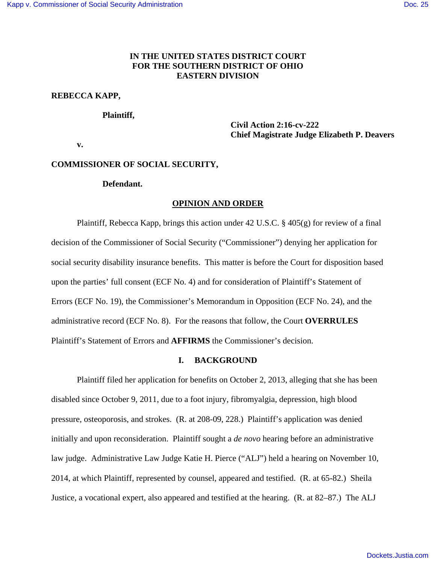## **IN THE UNITED STATES DISTRICT COURT FOR THE SOUTHERN DISTRICT OF OHIO EASTERN DIVISION**

## **REBECCA KAPP,**

#### **Plaintiff,**

 **Civil Action 2:16-cv-222 Chief Magistrate Judge Elizabeth P. Deavers** 

 **v.** 

## **COMMISSIONER OF SOCIAL SECURITY,**

## **Defendant.**

#### **OPINION AND ORDER**

 Plaintiff, Rebecca Kapp, brings this action under 42 U.S.C. § 405(g) for review of a final decision of the Commissioner of Social Security ("Commissioner") denying her application for social security disability insurance benefits. This matter is before the Court for disposition based upon the parties' full consent (ECF No. 4) and for consideration of Plaintiff's Statement of Errors (ECF No. 19), the Commissioner's Memorandum in Opposition (ECF No. 24), and the administrative record (ECF No. 8). For the reasons that follow, the Court **OVERRULES**  Plaintiff's Statement of Errors and **AFFIRMS** the Commissioner's decision.

#### **I. BACKGROUND**

 Plaintiff filed her application for benefits on October 2, 2013, alleging that she has been disabled since October 9, 2011, due to a foot injury, fibromyalgia, depression, high blood pressure, osteoporosis, and strokes. (R. at 208-09, 228.) Plaintiff's application was denied initially and upon reconsideration. Plaintiff sought a *de novo* hearing before an administrative law judge. Administrative Law Judge Katie H. Pierce ("ALJ") held a hearing on November 10, 2014, at which Plaintiff, represented by counsel, appeared and testified. (R. at 65-82.) Sheila Justice, a vocational expert, also appeared and testified at the hearing. (R. at 82–87.) The ALJ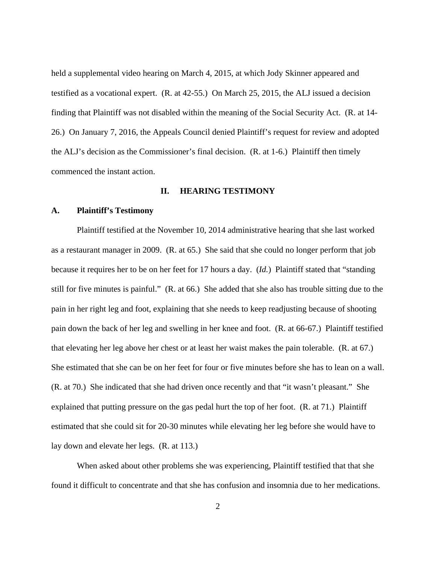held a supplemental video hearing on March 4, 2015, at which Jody Skinner appeared and testified as a vocational expert. (R. at 42-55.) On March 25, 2015, the ALJ issued a decision finding that Plaintiff was not disabled within the meaning of the Social Security Act. (R. at 14- 26.) On January 7, 2016, the Appeals Council denied Plaintiff's request for review and adopted the ALJ's decision as the Commissioner's final decision. (R. at 1-6.) Plaintiff then timely commenced the instant action.

### **II. HEARING TESTIMONY**

### **A. Plaintiff's Testimony**

Plaintiff testified at the November 10, 2014 administrative hearing that she last worked as a restaurant manager in 2009. (R. at 65.) She said that she could no longer perform that job because it requires her to be on her feet for 17 hours a day. (*Id.*) Plaintiff stated that "standing still for five minutes is painful." (R. at 66.) She added that she also has trouble sitting due to the pain in her right leg and foot, explaining that she needs to keep readjusting because of shooting pain down the back of her leg and swelling in her knee and foot. (R. at 66-67.) Plaintiff testified that elevating her leg above her chest or at least her waist makes the pain tolerable. (R. at 67.) She estimated that she can be on her feet for four or five minutes before she has to lean on a wall. (R. at 70.) She indicated that she had driven once recently and that "it wasn't pleasant." She explained that putting pressure on the gas pedal hurt the top of her foot. (R. at 71.) Plaintiff estimated that she could sit for 20-30 minutes while elevating her leg before she would have to lay down and elevate her legs. (R. at 113.)

 When asked about other problems she was experiencing, Plaintiff testified that that she found it difficult to concentrate and that she has confusion and insomnia due to her medications.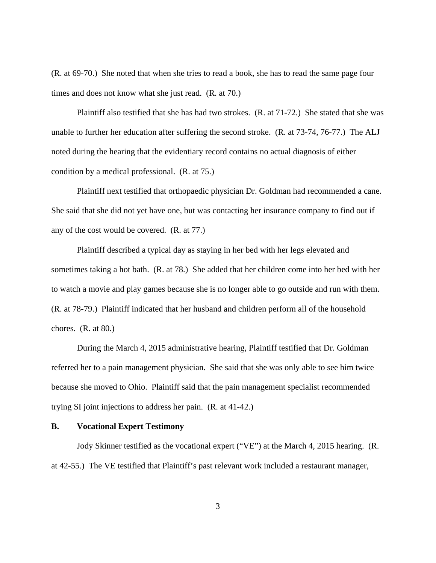(R. at 69-70.) She noted that when she tries to read a book, she has to read the same page four times and does not know what she just read. (R. at 70.)

 Plaintiff also testified that she has had two strokes. (R. at 71-72.) She stated that she was unable to further her education after suffering the second stroke. (R. at 73-74, 76-77.) The ALJ noted during the hearing that the evidentiary record contains no actual diagnosis of either condition by a medical professional. (R. at 75.)

 Plaintiff next testified that orthopaedic physician Dr. Goldman had recommended a cane. She said that she did not yet have one, but was contacting her insurance company to find out if any of the cost would be covered. (R. at 77.)

 Plaintiff described a typical day as staying in her bed with her legs elevated and sometimes taking a hot bath. (R. at 78.) She added that her children come into her bed with her to watch a movie and play games because she is no longer able to go outside and run with them. (R. at 78-79.) Plaintiff indicated that her husband and children perform all of the household chores. (R. at 80.)

 During the March 4, 2015 administrative hearing, Plaintiff testified that Dr. Goldman referred her to a pain management physician. She said that she was only able to see him twice because she moved to Ohio. Plaintiff said that the pain management specialist recommended trying SI joint injections to address her pain. (R. at 41-42.)

#### **B. Vocational Expert Testimony**

 Jody Skinner testified as the vocational expert ("VE") at the March 4, 2015 hearing. (R. at 42-55.) The VE testified that Plaintiff's past relevant work included a restaurant manager,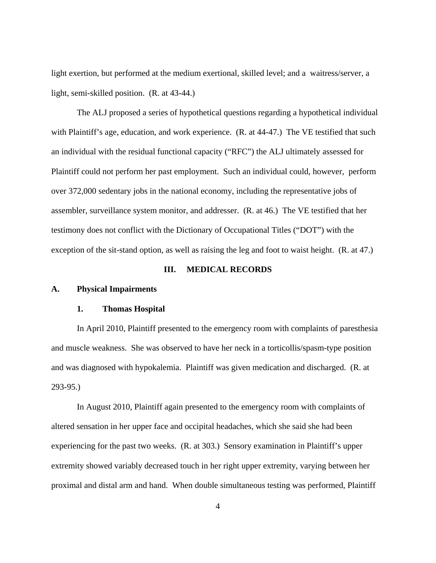light exertion, but performed at the medium exertional, skilled level; and a waitress/server, a light, semi-skilled position. (R. at 43-44.)

 The ALJ proposed a series of hypothetical questions regarding a hypothetical individual with Plaintiff's age, education, and work experience. (R. at 44-47.) The VE testified that such an individual with the residual functional capacity ("RFC") the ALJ ultimately assessed for Plaintiff could not perform her past employment. Such an individual could, however, perform over 372,000 sedentary jobs in the national economy, including the representative jobs of assembler, surveillance system monitor, and addresser. (R. at 46.) The VE testified that her testimony does not conflict with the Dictionary of Occupational Titles ("DOT") with the exception of the sit-stand option, as well as raising the leg and foot to waist height. (R. at 47.)

## **III. MEDICAL RECORDS**

## **A. Physical Impairments**

#### **1. Thomas Hospital**

 In April 2010, Plaintiff presented to the emergency room with complaints of paresthesia and muscle weakness. She was observed to have her neck in a torticollis/spasm-type position and was diagnosed with hypokalemia. Plaintiff was given medication and discharged. (R. at 293-95.)

 In August 2010, Plaintiff again presented to the emergency room with complaints of altered sensation in her upper face and occipital headaches, which she said she had been experiencing for the past two weeks. (R. at 303.) Sensory examination in Plaintiff's upper extremity showed variably decreased touch in her right upper extremity, varying between her proximal and distal arm and hand. When double simultaneous testing was performed, Plaintiff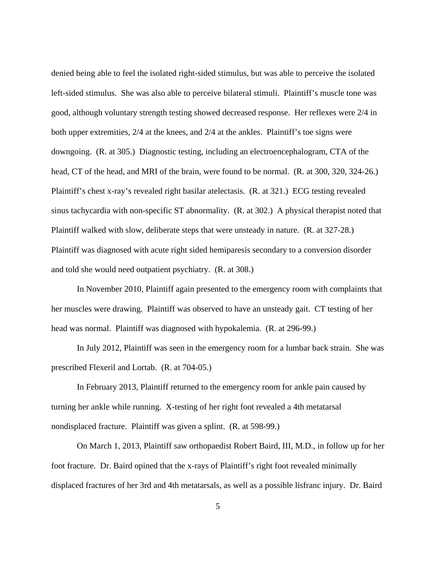denied being able to feel the isolated right-sided stimulus, but was able to perceive the isolated left-sided stimulus. She was also able to perceive bilateral stimuli. Plaintiff's muscle tone was good, although voluntary strength testing showed decreased response. Her reflexes were 2/4 in both upper extremities, 2/4 at the knees, and 2/4 at the ankles. Plaintiff's toe signs were downgoing. (R. at 305.) Diagnostic testing, including an electroencephalogram, CTA of the head, CT of the head, and MRI of the brain, were found to be normal. (R. at 300, 320, 324-26.) Plaintiff's chest x-ray's revealed right basilar atelectasis. (R. at 321.) ECG testing revealed sinus tachycardia with non-specific ST abnormality. (R. at 302.) A physical therapist noted that Plaintiff walked with slow, deliberate steps that were unsteady in nature. (R. at 327-28.) Plaintiff was diagnosed with acute right sided hemiparesis secondary to a conversion disorder and told she would need outpatient psychiatry. (R. at 308.)

 In November 2010, Plaintiff again presented to the emergency room with complaints that her muscles were drawing. Plaintiff was observed to have an unsteady gait. CT testing of her head was normal. Plaintiff was diagnosed with hypokalemia. (R. at 296-99.)

 In July 2012, Plaintiff was seen in the emergency room for a lumbar back strain. She was prescribed Flexeril and Lortab. (R. at 704-05.)

 In February 2013, Plaintiff returned to the emergency room for ankle pain caused by turning her ankle while running. X-testing of her right foot revealed a 4th metatarsal nondisplaced fracture. Plaintiff was given a splint. (R. at 598-99.)

 On March 1, 2013, Plaintiff saw orthopaedist Robert Baird, III, M.D., in follow up for her foot fracture. Dr. Baird opined that the x-rays of Plaintiff's right foot revealed minimally displaced fractures of her 3rd and 4th metatarsals, as well as a possible lisfranc injury. Dr. Baird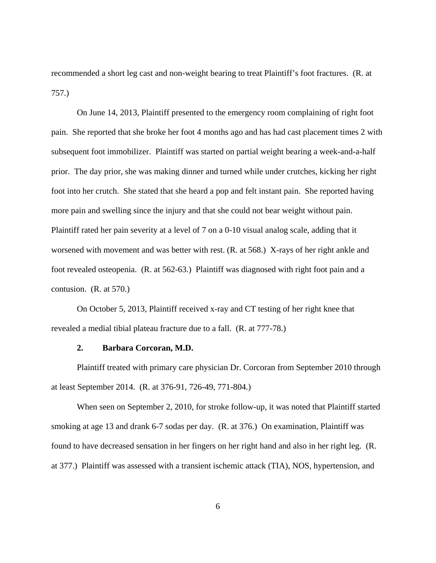recommended a short leg cast and non-weight bearing to treat Plaintiff's foot fractures. (R. at 757.)

 On June 14, 2013, Plaintiff presented to the emergency room complaining of right foot pain. She reported that she broke her foot 4 months ago and has had cast placement times 2 with subsequent foot immobilizer. Plaintiff was started on partial weight bearing a week-and-a-half prior. The day prior, she was making dinner and turned while under crutches, kicking her right foot into her crutch. She stated that she heard a pop and felt instant pain. She reported having more pain and swelling since the injury and that she could not bear weight without pain. Plaintiff rated her pain severity at a level of 7 on a 0-10 visual analog scale, adding that it worsened with movement and was better with rest. (R. at 568.) X-rays of her right ankle and foot revealed osteopenia. (R. at 562-63.) Plaintiff was diagnosed with right foot pain and a contusion. (R. at 570.)

 On October 5, 2013, Plaintiff received x-ray and CT testing of her right knee that revealed a medial tibial plateau fracture due to a fall. (R. at 777-78.)

### **2. Barbara Corcoran, M.D.**

 Plaintiff treated with primary care physician Dr. Corcoran from September 2010 through at least September 2014. (R. at 376-91, 726-49, 771-804.)

 When seen on September 2, 2010, for stroke follow-up, it was noted that Plaintiff started smoking at age 13 and drank 6-7 sodas per day. (R. at 376.) On examination, Plaintiff was found to have decreased sensation in her fingers on her right hand and also in her right leg. (R. at 377.) Plaintiff was assessed with a transient ischemic attack (TIA), NOS, hypertension, and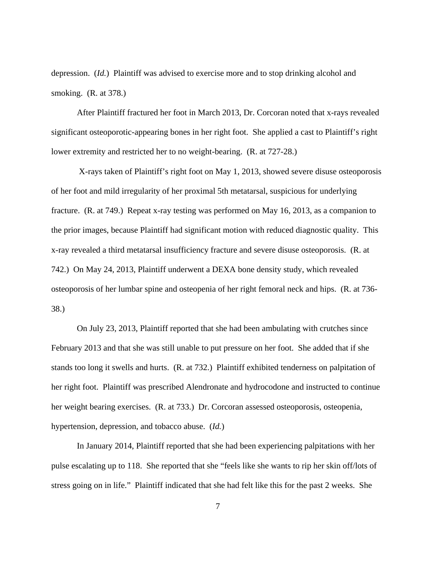depression. (*Id.*) Plaintiff was advised to exercise more and to stop drinking alcohol and smoking. (R. at 378.)

 After Plaintiff fractured her foot in March 2013, Dr. Corcoran noted that x-rays revealed significant osteoporotic-appearing bones in her right foot. She applied a cast to Plaintiff's right lower extremity and restricted her to no weight-bearing. (R. at 727-28.)

 X-rays taken of Plaintiff's right foot on May 1, 2013, showed severe disuse osteoporosis of her foot and mild irregularity of her proximal 5th metatarsal, suspicious for underlying fracture. (R. at 749.) Repeat x-ray testing was performed on May 16, 2013, as a companion to the prior images, because Plaintiff had significant motion with reduced diagnostic quality. This x-ray revealed a third metatarsal insufficiency fracture and severe disuse osteoporosis. (R. at 742.) On May 24, 2013, Plaintiff underwent a DEXA bone density study, which revealed osteoporosis of her lumbar spine and osteopenia of her right femoral neck and hips. (R. at 736- 38.)

 On July 23, 2013, Plaintiff reported that she had been ambulating with crutches since February 2013 and that she was still unable to put pressure on her foot. She added that if she stands too long it swells and hurts. (R. at 732.) Plaintiff exhibited tenderness on palpitation of her right foot. Plaintiff was prescribed Alendronate and hydrocodone and instructed to continue her weight bearing exercises. (R. at 733.) Dr. Corcoran assessed osteoporosis, osteopenia, hypertension, depression, and tobacco abuse. (*Id.*)

 In January 2014, Plaintiff reported that she had been experiencing palpitations with her pulse escalating up to 118. She reported that she "feels like she wants to rip her skin off/lots of stress going on in life." Plaintiff indicated that she had felt like this for the past 2 weeks. She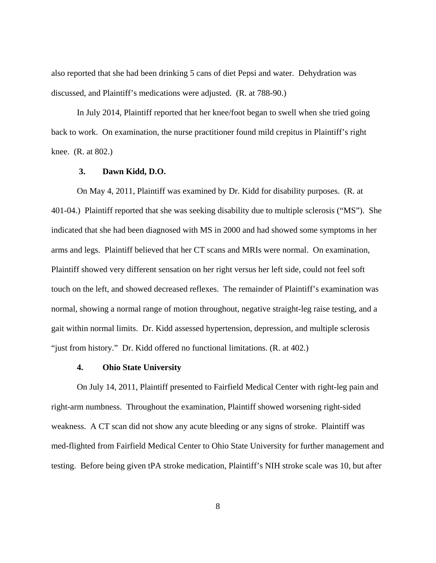also reported that she had been drinking 5 cans of diet Pepsi and water. Dehydration was discussed, and Plaintiff's medications were adjusted. (R. at 788-90.)

 In July 2014, Plaintiff reported that her knee/foot began to swell when she tried going back to work. On examination, the nurse practitioner found mild crepitus in Plaintiff's right knee. (R. at 802.)

## **3. Dawn Kidd, D.O.**

On May 4, 2011, Plaintiff was examined by Dr. Kidd for disability purposes. (R. at 401-04.) Plaintiff reported that she was seeking disability due to multiple sclerosis ("MS"). She indicated that she had been diagnosed with MS in 2000 and had showed some symptoms in her arms and legs. Plaintiff believed that her CT scans and MRIs were normal. On examination, Plaintiff showed very different sensation on her right versus her left side, could not feel soft touch on the left, and showed decreased reflexes. The remainder of Plaintiff's examination was normal, showing a normal range of motion throughout, negative straight-leg raise testing, and a gait within normal limits. Dr. Kidd assessed hypertension, depression, and multiple sclerosis "just from history." Dr. Kidd offered no functional limitations. (R. at 402.)

# **4. Ohio State University**

 On July 14, 2011, Plaintiff presented to Fairfield Medical Center with right-leg pain and right-arm numbness. Throughout the examination, Plaintiff showed worsening right-sided weakness. A CT scan did not show any acute bleeding or any signs of stroke. Plaintiff was med-flighted from Fairfield Medical Center to Ohio State University for further management and testing. Before being given tPA stroke medication, Plaintiff's NIH stroke scale was 10, but after

8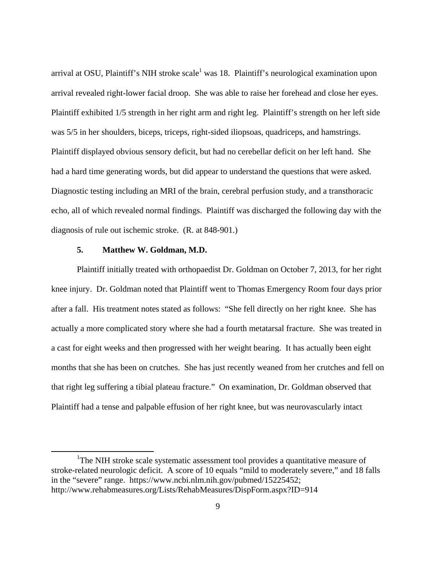arrival at OSU, Plaintiff's NIH stroke scale<sup>1</sup> was 18. Plaintiff's neurological examination upon arrival revealed right-lower facial droop. She was able to raise her forehead and close her eyes. Plaintiff exhibited 1/5 strength in her right arm and right leg. Plaintiff's strength on her left side was 5/5 in her shoulders, biceps, triceps, right-sided iliopsoas, quadriceps, and hamstrings. Plaintiff displayed obvious sensory deficit, but had no cerebellar deficit on her left hand. She had a hard time generating words, but did appear to understand the questions that were asked. Diagnostic testing including an MRI of the brain, cerebral perfusion study, and a transthoracic echo, all of which revealed normal findings. Plaintiff was discharged the following day with the diagnosis of rule out ischemic stroke. (R. at 848-901.)

### **5. Matthew W. Goldman, M.D.**

<u>.</u>

 Plaintiff initially treated with orthopaedist Dr. Goldman on October 7, 2013, for her right knee injury. Dr. Goldman noted that Plaintiff went to Thomas Emergency Room four days prior after a fall. His treatment notes stated as follows: "She fell directly on her right knee. She has actually a more complicated story where she had a fourth metatarsal fracture. She was treated in a cast for eight weeks and then progressed with her weight bearing. It has actually been eight months that she has been on crutches. She has just recently weaned from her crutches and fell on that right leg suffering a tibial plateau fracture." On examination, Dr. Goldman observed that Plaintiff had a tense and palpable effusion of her right knee, but was neurovascularly intact

<sup>&</sup>lt;sup>1</sup>The NIH stroke scale systematic assessment tool provides a quantitative measure of stroke-related neurologic deficit. A score of 10 equals "mild to moderately severe," and 18 falls in the "severe" range. https://www.ncbi.nlm.nih.gov/pubmed/15225452; http://www.rehabmeasures.org/Lists/RehabMeasures/DispForm.aspx?ID=914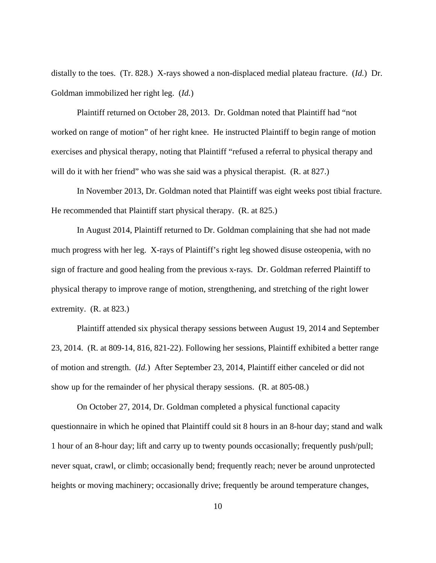distally to the toes. (Tr. 828.) X-rays showed a non-displaced medial plateau fracture. (*Id.*) Dr. Goldman immobilized her right leg. (*Id.*)

 Plaintiff returned on October 28, 2013. Dr. Goldman noted that Plaintiff had "not worked on range of motion" of her right knee. He instructed Plaintiff to begin range of motion exercises and physical therapy, noting that Plaintiff "refused a referral to physical therapy and will do it with her friend" who was she said was a physical therapist. (R. at 827.)

 In November 2013, Dr. Goldman noted that Plaintiff was eight weeks post tibial fracture. He recommended that Plaintiff start physical therapy. (R. at 825.)

 In August 2014, Plaintiff returned to Dr. Goldman complaining that she had not made much progress with her leg. X-rays of Plaintiff's right leg showed disuse osteopenia, with no sign of fracture and good healing from the previous x-rays. Dr. Goldman referred Plaintiff to physical therapy to improve range of motion, strengthening, and stretching of the right lower extremity. (R. at 823.)

 Plaintiff attended six physical therapy sessions between August 19, 2014 and September 23, 2014. (R. at 809-14, 816, 821-22). Following her sessions, Plaintiff exhibited a better range of motion and strength. (*Id.*) After September 23, 2014, Plaintiff either canceled or did not show up for the remainder of her physical therapy sessions. (R. at 805-08.)

 On October 27, 2014, Dr. Goldman completed a physical functional capacity questionnaire in which he opined that Plaintiff could sit 8 hours in an 8-hour day; stand and walk 1 hour of an 8-hour day; lift and carry up to twenty pounds occasionally; frequently push/pull; never squat, crawl, or climb; occasionally bend; frequently reach; never be around unprotected heights or moving machinery; occasionally drive; frequently be around temperature changes,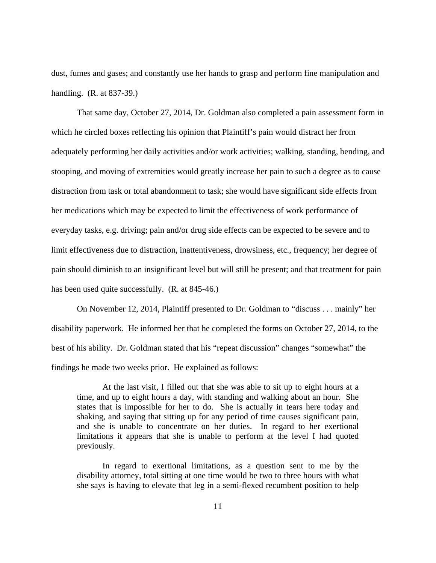dust, fumes and gases; and constantly use her hands to grasp and perform fine manipulation and handling. (R. at 837-39.)

 That same day, October 27, 2014, Dr. Goldman also completed a pain assessment form in which he circled boxes reflecting his opinion that Plaintiff's pain would distract her from adequately performing her daily activities and/or work activities; walking, standing, bending, and stooping, and moving of extremities would greatly increase her pain to such a degree as to cause distraction from task or total abandonment to task; she would have significant side effects from her medications which may be expected to limit the effectiveness of work performance of everyday tasks, e.g. driving; pain and/or drug side effects can be expected to be severe and to limit effectiveness due to distraction, inattentiveness, drowsiness, etc., frequency; her degree of pain should diminish to an insignificant level but will still be present; and that treatment for pain has been used quite successfully. (R. at 845-46.)

 On November 12, 2014, Plaintiff presented to Dr. Goldman to "discuss . . . mainly" her disability paperwork. He informed her that he completed the forms on October 27, 2014, to the best of his ability. Dr. Goldman stated that his "repeat discussion" changes "somewhat" the findings he made two weeks prior. He explained as follows:

 At the last visit, I filled out that she was able to sit up to eight hours at a time, and up to eight hours a day, with standing and walking about an hour. She states that is impossible for her to do. She is actually in tears here today and shaking, and saying that sitting up for any period of time causes significant pain, and she is unable to concentrate on her duties. In regard to her exertional limitations it appears that she is unable to perform at the level I had quoted previously.

 In regard to exertional limitations, as a question sent to me by the disability attorney, total sitting at one time would be two to three hours with what she says is having to elevate that leg in a semi-flexed recumbent position to help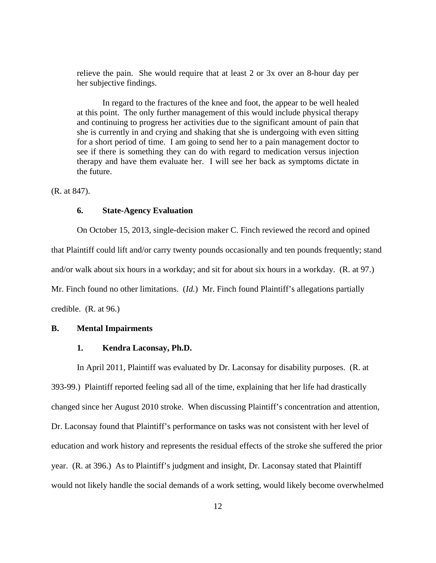relieve the pain. She would require that at least 2 or 3x over an 8-hour day per her subjective findings.

 In regard to the fractures of the knee and foot, the appear to be well healed at this point. The only further management of this would include physical therapy and continuing to progress her activities due to the significant amount of pain that she is currently in and crying and shaking that she is undergoing with even sitting for a short period of time. I am going to send her to a pain management doctor to see if there is something they can do with regard to medication versus injection therapy and have them evaluate her. I will see her back as symptoms dictate in the future.

(R. at 847).

#### **6. State-Agency Evaluation**

 On October 15, 2013, single-decision maker C. Finch reviewed the record and opined that Plaintiff could lift and/or carry twenty pounds occasionally and ten pounds frequently; stand and/or walk about six hours in a workday; and sit for about six hours in a workday. (R. at 97.) Mr. Finch found no other limitations. (*Id.*) Mr. Finch found Plaintiff's allegations partially credible. (R. at 96.)

## **B. Mental Impairments**

## **1. Kendra Laconsay, Ph.D.**

In April 2011, Plaintiff was evaluated by Dr. Laconsay for disability purposes. (R. at 393-99.) Plaintiff reported feeling sad all of the time, explaining that her life had drastically changed since her August 2010 stroke. When discussing Plaintiff's concentration and attention, Dr. Laconsay found that Plaintiff's performance on tasks was not consistent with her level of education and work history and represents the residual effects of the stroke she suffered the prior year. (R. at 396.) As to Plaintiff's judgment and insight, Dr. Laconsay stated that Plaintiff would not likely handle the social demands of a work setting, would likely become overwhelmed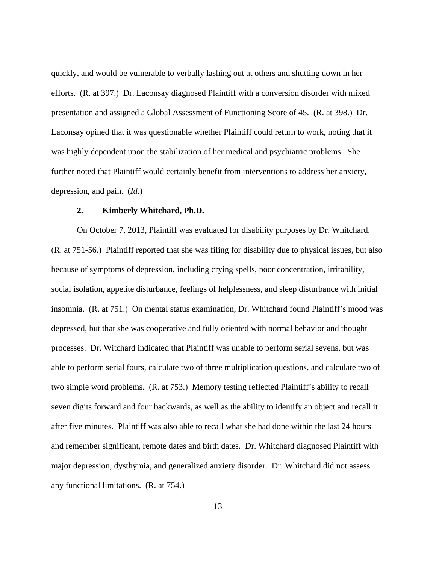quickly, and would be vulnerable to verbally lashing out at others and shutting down in her efforts. (R. at 397.) Dr. Laconsay diagnosed Plaintiff with a conversion disorder with mixed presentation and assigned a Global Assessment of Functioning Score of 45. (R. at 398.) Dr. Laconsay opined that it was questionable whether Plaintiff could return to work, noting that it was highly dependent upon the stabilization of her medical and psychiatric problems. She further noted that Plaintiff would certainly benefit from interventions to address her anxiety, depression, and pain. (*Id.*)

### **2. Kimberly Whitchard, Ph.D.**

 On October 7, 2013, Plaintiff was evaluated for disability purposes by Dr. Whitchard. (R. at 751-56.) Plaintiff reported that she was filing for disability due to physical issues, but also because of symptoms of depression, including crying spells, poor concentration, irritability, social isolation, appetite disturbance, feelings of helplessness, and sleep disturbance with initial insomnia. (R. at 751.) On mental status examination, Dr. Whitchard found Plaintiff's mood was depressed, but that she was cooperative and fully oriented with normal behavior and thought processes. Dr. Witchard indicated that Plaintiff was unable to perform serial sevens, but was able to perform serial fours, calculate two of three multiplication questions, and calculate two of two simple word problems. (R. at 753.) Memory testing reflected Plaintiff's ability to recall seven digits forward and four backwards, as well as the ability to identify an object and recall it after five minutes. Plaintiff was also able to recall what she had done within the last 24 hours and remember significant, remote dates and birth dates. Dr. Whitchard diagnosed Plaintiff with major depression, dysthymia, and generalized anxiety disorder. Dr. Whitchard did not assess any functional limitations. (R. at 754.)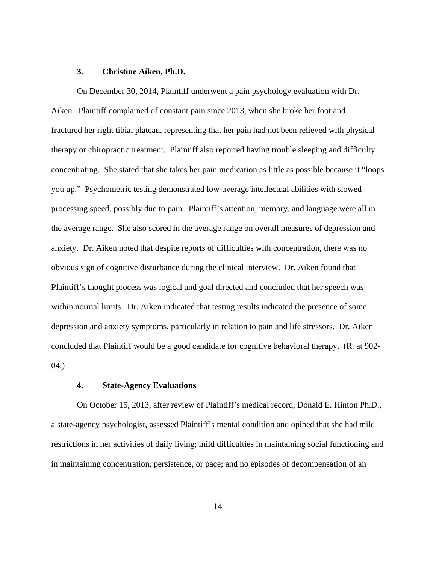### **3. Christine Aiken, Ph.D.**

 On December 30, 2014, Plaintiff underwent a pain psychology evaluation with Dr. Aiken. Plaintiff complained of constant pain since 2013, when she broke her foot and fractured her right tibial plateau, representing that her pain had not been relieved with physical therapy or chiropractic treatment. Plaintiff also reported having trouble sleeping and difficulty concentrating. She stated that she takes her pain medication as little as possible because it "loops you up." Psychometric testing demonstrated low-average intellectual abilities with slowed processing speed, possibly due to pain. Plaintiff's attention, memory, and language were all in the average range. She also scored in the average range on overall measures of depression and anxiety. Dr. Aiken noted that despite reports of difficulties with concentration, there was no obvious sign of cognitive disturbance during the clinical interview. Dr. Aiken found that Plaintiff's thought process was logical and goal directed and concluded that her speech was within normal limits. Dr. Aiken indicated that testing results indicated the presence of some depression and anxiety symptoms, particularly in relation to pain and life stressors. Dr. Aiken concluded that Plaintiff would be a good candidate for cognitive behavioral therapy. (R. at 902- 04.)

### **4. State-Agency Evaluations**

 On October 15, 2013, after review of Plaintiff's medical record, Donald E. Hinton Ph.D., a state-agency psychologist, assessed Plaintiff's mental condition and opined that she had mild restrictions in her activities of daily living; mild difficulties in maintaining social functioning and in maintaining concentration, persistence, or pace; and no episodes of decompensation of an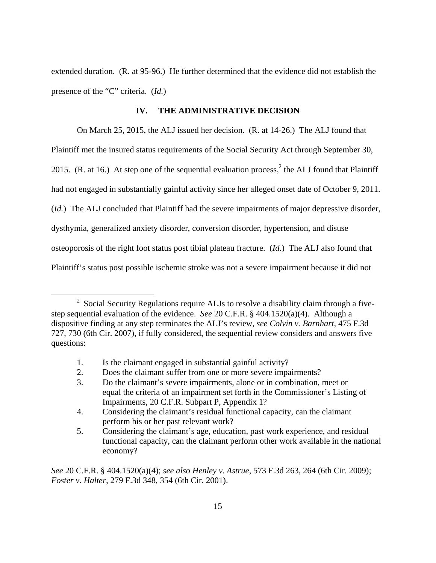extended duration. (R. at 95-96.) He further determined that the evidence did not establish the presence of the "C" criteria. (*Id.*)

## **IV. THE ADMINISTRATIVE DECISION**

 On March 25, 2015, the ALJ issued her decision. (R. at 14-26.) The ALJ found that Plaintiff met the insured status requirements of the Social Security Act through September 30, 2015. (R. at 16.) At step one of the sequential evaluation process,  $2$  the ALJ found that Plaintiff had not engaged in substantially gainful activity since her alleged onset date of October 9, 2011. (*Id.*) The ALJ concluded that Plaintiff had the severe impairments of major depressive disorder, dysthymia, generalized anxiety disorder, conversion disorder, hypertension, and disuse osteoporosis of the right foot status post tibial plateau fracture. (*Id.*) The ALJ also found that Plaintiff's status post possible ischemic stroke was not a severe impairment because it did not

1. Is the claimant engaged in substantial gainful activity?

 $\overline{a}$ 

2. Does the claimant suffer from one or more severe impairments?

 $2$  Social Security Regulations require ALJs to resolve a disability claim through a fivestep sequential evaluation of the evidence. *See* 20 C.F.R. § 404.1520(a)(4). Although a dispositive finding at any step terminates the ALJ's review, *see Colvin v. Barnhart*, 475 F.3d 727, 730 (6th Cir. 2007), if fully considered, the sequential review considers and answers five questions:

 <sup>3.</sup> Do the claimant's severe impairments, alone or in combination, meet or equal the criteria of an impairment set forth in the Commissioner's Listing of Impairments, 20 C.F.R. Subpart P, Appendix 1?

 <sup>4.</sup> Considering the claimant's residual functional capacity, can the claimant perform his or her past relevant work?

 <sup>5.</sup> Considering the claimant's age, education, past work experience, and residual functional capacity, can the claimant perform other work available in the national economy?

*See* 20 C.F.R. § 404.1520(a)(4); *see also Henley v. Astrue*, 573 F.3d 263, 264 (6th Cir. 2009); *Foster v. Halter*, 279 F.3d 348, 354 (6th Cir. 2001).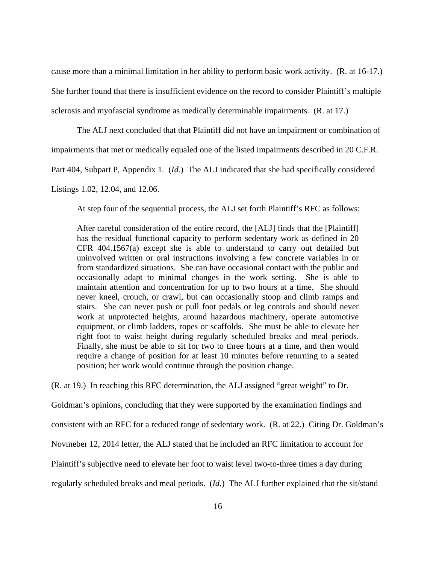cause more than a minimal limitation in her ability to perform basic work activity. (R. at 16-17.)

She further found that there is insufficient evidence on the record to consider Plaintiff's multiple

sclerosis and myofascial syndrome as medically determinable impairments. (R. at 17.)

The ALJ next concluded that that Plaintiff did not have an impairment or combination of

impairments that met or medically equaled one of the listed impairments described in 20 C.F.R.

Part 404, Subpart P, Appendix 1. (*Id.*) The ALJ indicated that she had specifically considered

Listings 1.02, 12.04, and 12.06.

At step four of the sequential process, the ALJ set forth Plaintiff's RFC as follows:

After careful consideration of the entire record, the [ALJ] finds that the [Plaintiff] has the residual functional capacity to perform sedentary work as defined in 20 CFR 404.1567(a) except she is able to understand to carry out detailed but uninvolved written or oral instructions involving a few concrete variables in or from standardized situations. She can have occasional contact with the public and occasionally adapt to minimal changes in the work setting. She is able to maintain attention and concentration for up to two hours at a time. She should never kneel, crouch, or crawl, but can occasionally stoop and climb ramps and stairs. She can never push or pull foot pedals or leg controls and should never work at unprotected heights, around hazardous machinery, operate automotive equipment, or climb ladders, ropes or scaffolds. She must be able to elevate her right foot to waist height during regularly scheduled breaks and meal periods. Finally, she must be able to sit for two to three hours at a time, and then would require a change of position for at least 10 minutes before returning to a seated position; her work would continue through the position change.

(R. at 19.) In reaching this RFC determination, the ALJ assigned "great weight" to Dr.

Goldman's opinions, concluding that they were supported by the examination findings and

consistent with an RFC for a reduced range of sedentary work. (R. at 22.) Citing Dr. Goldman's

Novmeber 12, 2014 letter, the ALJ stated that he included an RFC limitation to account for

Plaintiff's subjective need to elevate her foot to waist level two-to-three times a day during

regularly scheduled breaks and meal periods. (*Id.*) The ALJ further explained that the sit/stand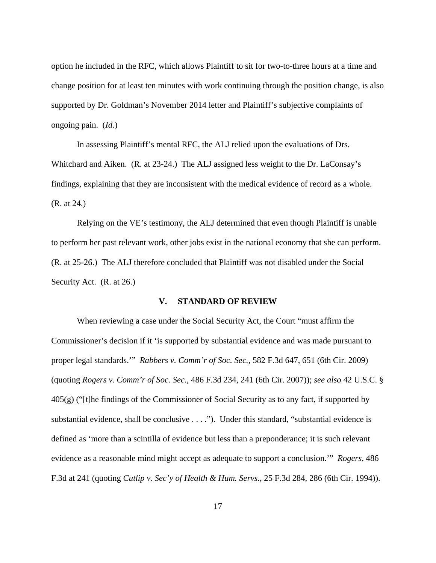option he included in the RFC, which allows Plaintiff to sit for two-to-three hours at a time and change position for at least ten minutes with work continuing through the position change, is also supported by Dr. Goldman's November 2014 letter and Plaintiff's subjective complaints of ongoing pain. (*Id.*)

 In assessing Plaintiff's mental RFC, the ALJ relied upon the evaluations of Drs. Whitchard and Aiken. (R. at 23-24.) The ALJ assigned less weight to the Dr. LaConsay's findings, explaining that they are inconsistent with the medical evidence of record as a whole. (R. at 24.)

 Relying on the VE's testimony, the ALJ determined that even though Plaintiff is unable to perform her past relevant work, other jobs exist in the national economy that she can perform. (R. at 25-26.) The ALJ therefore concluded that Plaintiff was not disabled under the Social Security Act. (R. at 26.)

## **V. STANDARD OF REVIEW**

When reviewing a case under the Social Security Act, the Court "must affirm the Commissioner's decision if it 'is supported by substantial evidence and was made pursuant to proper legal standards.'" *Rabbers v. Comm'r of Soc. Sec.*, 582 F.3d 647, 651 (6th Cir. 2009) (quoting *Rogers v. Comm'r of Soc. Sec.*, 486 F.3d 234, 241 (6th Cir. 2007)); *see also* 42 U.S.C. §  $405(g)$  ("[t]he findings of the Commissioner of Social Security as to any fact, if supported by substantial evidence, shall be conclusive . . . ."). Under this standard, "substantial evidence is defined as 'more than a scintilla of evidence but less than a preponderance; it is such relevant evidence as a reasonable mind might accept as adequate to support a conclusion.'" *Rogers*, 486 F.3d at 241 (quoting *Cutlip v. Sec'y of Health & Hum. Servs.*, 25 F.3d 284, 286 (6th Cir. 1994)).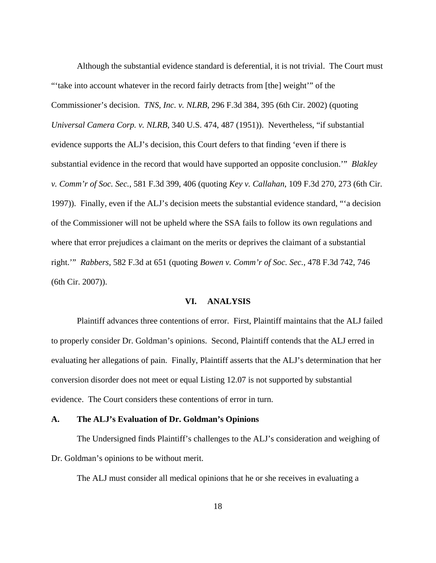Although the substantial evidence standard is deferential, it is not trivial. The Court must "'take into account whatever in the record fairly detracts from [the] weight'" of the Commissioner's decision. *TNS, Inc. v. NLRB*, 296 F.3d 384, 395 (6th Cir. 2002) (quoting *Universal Camera Corp. v. NLRB*, 340 U.S. 474, 487 (1951)). Nevertheless, "if substantial evidence supports the ALJ's decision, this Court defers to that finding 'even if there is substantial evidence in the record that would have supported an opposite conclusion.'" *Blakley v. Comm'r of Soc. Sec.*, 581 F.3d 399, 406 (quoting *Key v. Callahan*, 109 F.3d 270, 273 (6th Cir. 1997)). Finally, even if the ALJ's decision meets the substantial evidence standard, "'a decision of the Commissioner will not be upheld where the SSA fails to follow its own regulations and where that error prejudices a claimant on the merits or deprives the claimant of a substantial right.'" *Rabbers*, 582 F.3d at 651 (quoting *Bowen v. Comm'r of Soc. Sec.*, 478 F.3d 742, 746 (6th Cir. 2007)).

## **VI. ANALYSIS**

 Plaintiff advances three contentions of error. First, Plaintiff maintains that the ALJ failed to properly consider Dr. Goldman's opinions. Second, Plaintiff contends that the ALJ erred in evaluating her allegations of pain. Finally, Plaintiff asserts that the ALJ's determination that her conversion disorder does not meet or equal Listing 12.07 is not supported by substantial evidence. The Court considers these contentions of error in turn.

### **A. The ALJ's Evaluation of Dr. Goldman's Opinions**

The Undersigned finds Plaintiff's challenges to the ALJ's consideration and weighing of Dr. Goldman's opinions to be without merit.

The ALJ must consider all medical opinions that he or she receives in evaluating a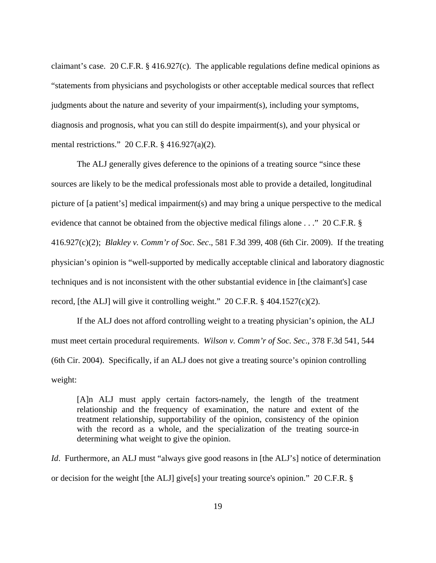claimant's case. 20 C.F.R. § 416.927(c). The applicable regulations define medical opinions as "statements from physicians and psychologists or other acceptable medical sources that reflect judgments about the nature and severity of your impairment(s), including your symptoms, diagnosis and prognosis, what you can still do despite impairment(s), and your physical or mental restrictions." 20 C.F.R. § 416.927(a)(2).

 The ALJ generally gives deference to the opinions of a treating source "since these sources are likely to be the medical professionals most able to provide a detailed, longitudinal picture of [a patient's] medical impairment(s) and may bring a unique perspective to the medical evidence that cannot be obtained from the objective medical filings alone . . ." 20 C.F.R. § 416.927(c)(2); *Blakley v. Comm'r of Soc. Sec*., 581 F.3d 399, 408 (6th Cir. 2009). If the treating physician's opinion is "well-supported by medically acceptable clinical and laboratory diagnostic techniques and is not inconsistent with the other substantial evidence in [the claimant's] case record, [the ALJ] will give it controlling weight." 20 C.F.R.  $\S$  404.1527(c)(2).

 If the ALJ does not afford controlling weight to a treating physician's opinion, the ALJ must meet certain procedural requirements. *Wilson v. Comm'r of Soc. Sec*., 378 F.3d 541, 544 (6th Cir. 2004). Specifically, if an ALJ does not give a treating source's opinion controlling weight:

[A]n ALJ must apply certain factors-namely, the length of the treatment relationship and the frequency of examination, the nature and extent of the treatment relationship, supportability of the opinion, consistency of the opinion with the record as a whole, and the specialization of the treating source-in determining what weight to give the opinion.

*Id.* Furthermore, an ALJ must "always give good reasons in [the ALJ's] notice of determination or decision for the weight [the ALJ] give[s] your treating source's opinion." 20 C.F.R. §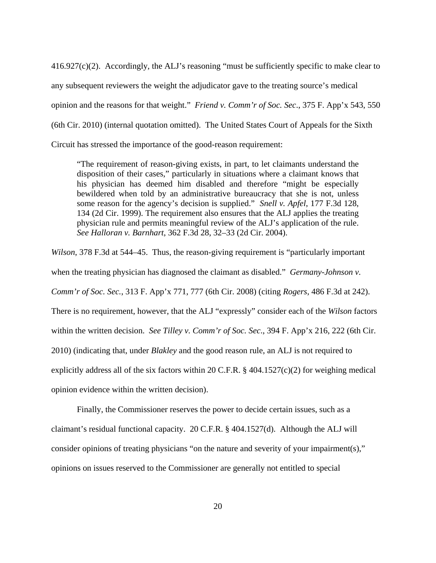416.927(c)(2). Accordingly, the ALJ's reasoning "must be sufficiently specific to make clear to any subsequent reviewers the weight the adjudicator gave to the treating source's medical opinion and the reasons for that weight." *Friend v. Comm'r of Soc. Sec*., 375 F. App'x 543, 550 (6th Cir. 2010) (internal quotation omitted). The United States Court of Appeals for the Sixth Circuit has stressed the importance of the good-reason requirement:

"The requirement of reason-giving exists, in part, to let claimants understand the disposition of their cases," particularly in situations where a claimant knows that his physician has deemed him disabled and therefore "might be especially bewildered when told by an administrative bureaucracy that she is not, unless some reason for the agency's decision is supplied." *Snell v. Apfel*, 177 F.3d 128, 134 (2d Cir. 1999). The requirement also ensures that the ALJ applies the treating physician rule and permits meaningful review of the ALJ's application of the rule. *See Halloran v. Barnhart*, 362 F.3d 28, 32–33 (2d Cir. 2004).

*Wilson*, 378 F.3d at 544–45. Thus, the reason-giving requirement is "particularly important when the treating physician has diagnosed the claimant as disabled." *Germany-Johnson v. Comm'r of Soc. Sec.*, 313 F. App'x 771, 777 (6th Cir. 2008) (citing *Rogers*, 486 F.3d at 242). There is no requirement, however, that the ALJ "expressly" consider each of the *Wilson* factors within the written decision. *See Tilley v. Comm'r of Soc. Sec*., 394 F. App'x 216, 222 (6th Cir. 2010) (indicating that, under *Blakley* and the good reason rule, an ALJ is not required to explicitly address all of the six factors within 20 C.F.R.  $\S$  404.1527(c)(2) for weighing medical opinion evidence within the written decision).

 Finally, the Commissioner reserves the power to decide certain issues, such as a claimant's residual functional capacity. 20 C.F.R. § 404.1527(d). Although the ALJ will consider opinions of treating physicians "on the nature and severity of your impairment(s)," opinions on issues reserved to the Commissioner are generally not entitled to special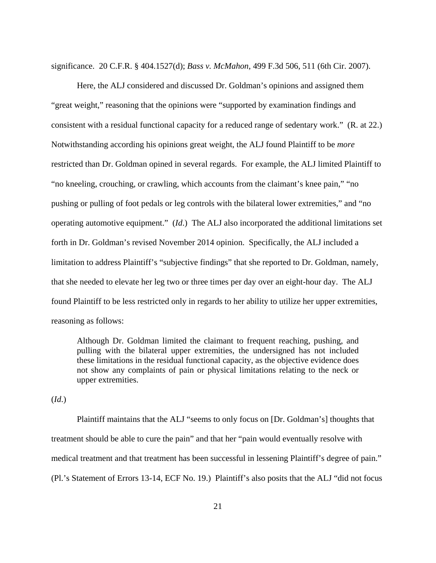significance. 20 C.F.R. § 404.1527(d); *Bass v. McMahon*, 499 F.3d 506, 511 (6th Cir. 2007).

 Here, the ALJ considered and discussed Dr. Goldman's opinions and assigned them "great weight," reasoning that the opinions were "supported by examination findings and consistent with a residual functional capacity for a reduced range of sedentary work." (R. at 22.) Notwithstanding according his opinions great weight, the ALJ found Plaintiff to be *more*  restricted than Dr. Goldman opined in several regards. For example, the ALJ limited Plaintiff to "no kneeling, crouching, or crawling, which accounts from the claimant's knee pain," "no pushing or pulling of foot pedals or leg controls with the bilateral lower extremities," and "no operating automotive equipment." (*Id*.) The ALJ also incorporated the additional limitations set forth in Dr. Goldman's revised November 2014 opinion. Specifically, the ALJ included a limitation to address Plaintiff's "subjective findings" that she reported to Dr. Goldman, namely, that she needed to elevate her leg two or three times per day over an eight-hour day. The ALJ found Plaintiff to be less restricted only in regards to her ability to utilize her upper extremities, reasoning as follows:

Although Dr. Goldman limited the claimant to frequent reaching, pushing, and pulling with the bilateral upper extremities, the undersigned has not included these limitations in the residual functional capacity, as the objective evidence does not show any complaints of pain or physical limitations relating to the neck or upper extremities.

(*Id*.)

 Plaintiff maintains that the ALJ "seems to only focus on [Dr. Goldman's] thoughts that treatment should be able to cure the pain" and that her "pain would eventually resolve with medical treatment and that treatment has been successful in lessening Plaintiff's degree of pain." (Pl.'s Statement of Errors 13-14, ECF No. 19.) Plaintiff's also posits that the ALJ "did not focus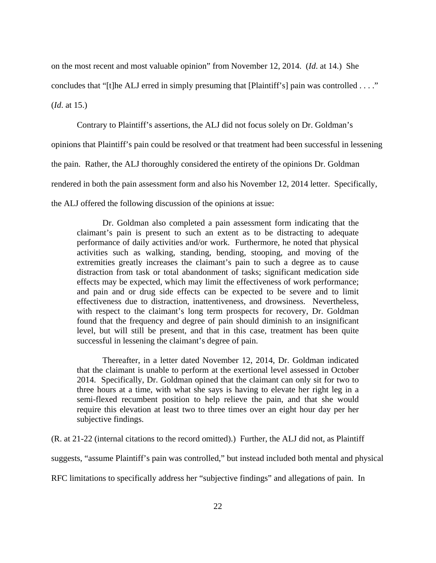on the most recent and most valuable opinion" from November 12, 2014. (*Id*. at 14.) She

concludes that "[t]he ALJ erred in simply presuming that [Plaintiff's] pain was controlled . . . ."

(*Id*. at 15.)

 Contrary to Plaintiff's assertions, the ALJ did not focus solely on Dr. Goldman's opinions that Plaintiff's pain could be resolved or that treatment had been successful in lessening the pain. Rather, the ALJ thoroughly considered the entirety of the opinions Dr. Goldman rendered in both the pain assessment form and also his November 12, 2014 letter. Specifically, the ALJ offered the following discussion of the opinions at issue:

Dr. Goldman also completed a pain assessment form indicating that the claimant's pain is present to such an extent as to be distracting to adequate performance of daily activities and/or work. Furthermore, he noted that physical activities such as walking, standing, bending, stooping, and moving of the extremities greatly increases the claimant's pain to such a degree as to cause distraction from task or total abandonment of tasks; significant medication side effects may be expected, which may limit the effectiveness of work performance; and pain and or drug side effects can be expected to be severe and to limit effectiveness due to distraction, inattentiveness, and drowsiness. Nevertheless, with respect to the claimant's long term prospects for recovery, Dr. Goldman found that the frequency and degree of pain should diminish to an insignificant level, but will still be present, and that in this case, treatment has been quite successful in lessening the claimant's degree of pain.

Thereafter, in a letter dated November 12, 2014, Dr. Goldman indicated that the claimant is unable to perform at the exertional level assessed in October 2014. Specifically, Dr. Goldman opined that the claimant can only sit for two to three hours at a time, with what she says is having to elevate her right leg in a semi-flexed recumbent position to help relieve the pain, and that she would require this elevation at least two to three times over an eight hour day per her subjective findings.

(R. at 21-22 (internal citations to the record omitted).) Further, the ALJ did not, as Plaintiff suggests, "assume Plaintiff's pain was controlled," but instead included both mental and physical RFC limitations to specifically address her "subjective findings" and allegations of pain. In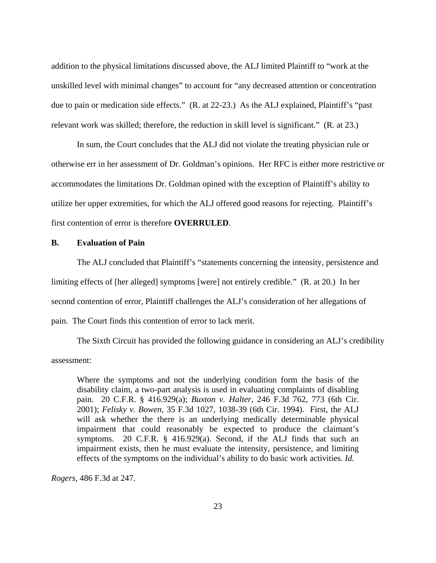addition to the physical limitations discussed above, the ALJ limited Plaintiff to "work at the unskilled level with minimal changes" to account for "any decreased attention or concentration due to pain or medication side effects." (R. at 22-23.) As the ALJ explained, Plaintiff's "past relevant work was skilled; therefore, the reduction in skill level is significant." (R. at 23.)

 In sum, the Court concludes that the ALJ did not violate the treating physician rule or otherwise err in her assessment of Dr. Goldman's opinions. Her RFC is either more restrictive or accommodates the limitations Dr. Goldman opined with the exception of Plaintiff's ability to utilize her upper extremities, for which the ALJ offered good reasons for rejecting. Plaintiff's first contention of error is therefore **OVERRULED**.

## **B. Evaluation of Pain**

 The ALJ concluded that Plaintiff's "statements concerning the intensity, persistence and limiting effects of [her alleged] symptoms [were] not entirely credible." (R. at 20.) In her second contention of error, Plaintiff challenges the ALJ's consideration of her allegations of pain. The Court finds this contention of error to lack merit.

 The Sixth Circuit has provided the following guidance in considering an ALJ's credibility assessment:

Where the symptoms and not the underlying condition form the basis of the disability claim, a two-part analysis is used in evaluating complaints of disabling pain. 20 C.F.R. § 416.929(a); *Buxton v. Halter*, 246 F.3d 762, 773 (6th Cir. 2001); *Felisky v. Bowen*, 35 F.3d 1027, 1038-39 (6th Cir. 1994). First, the ALJ will ask whether the there is an underlying medically determinable physical impairment that could reasonably be expected to produce the claimant's symptoms. 20 C.F.R. § 416.929(a). Second, if the ALJ finds that such an impairment exists, then he must evaluate the intensity, persistence, and limiting effects of the symptoms on the individual's ability to do basic work activities. *Id.* 

*Rogers*, 486 F.3d at 247.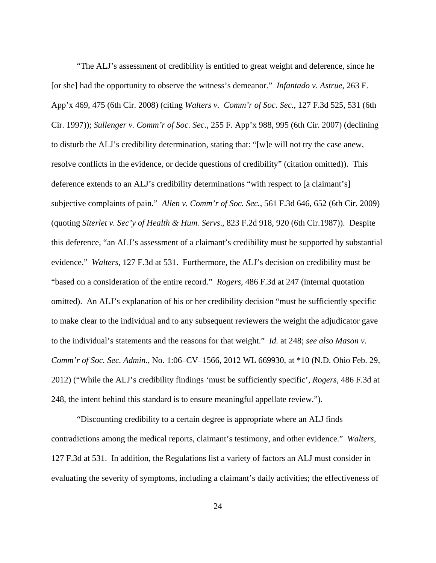"The ALJ's assessment of credibility is entitled to great weight and deference, since he [or she] had the opportunity to observe the witness's demeanor." *Infantado v. Astrue*, 263 F. App'x 469, 475 (6th Cir. 2008) (citing *Walters v. Comm'r of Soc. Sec.*, 127 F.3d 525, 531 (6th Cir. 1997)); *Sullenger v. Comm'r of Soc. Sec.*, 255 F. App'x 988, 995 (6th Cir. 2007) (declining to disturb the ALJ's credibility determination, stating that: "[w]e will not try the case anew, resolve conflicts in the evidence, or decide questions of credibility" (citation omitted)). This deference extends to an ALJ's credibility determinations "with respect to [a claimant's] subjective complaints of pain." *Allen v. Comm'r of Soc. Sec.*, 561 F.3d 646, 652 (6th Cir. 2009) (quoting *Siterlet v. Sec'y of Health & Hum. Servs*., 823 F.2d 918, 920 (6th Cir.1987)). Despite this deference, "an ALJ's assessment of a claimant's credibility must be supported by substantial evidence." *Walters*, 127 F.3d at 531. Furthermore, the ALJ's decision on credibility must be "based on a consideration of the entire record." *Rogers*, 486 F.3d at 247 (internal quotation omitted). An ALJ's explanation of his or her credibility decision "must be sufficiently specific to make clear to the individual and to any subsequent reviewers the weight the adjudicator gave to the individual's statements and the reasons for that weight." *Id.* at 248; *see also Mason v. Comm'r of Soc. Sec. Admin.*, No. 1:06–CV–1566, 2012 WL 669930, at \*10 (N.D. Ohio Feb. 29, 2012) ("While the ALJ's credibility findings 'must be sufficiently specific', *Rogers*, 486 F.3d at 248, the intent behind this standard is to ensure meaningful appellate review.").

 "Discounting credibility to a certain degree is appropriate where an ALJ finds contradictions among the medical reports, claimant's testimony, and other evidence." *Walters*, 127 F.3d at 531. In addition, the Regulations list a variety of factors an ALJ must consider in evaluating the severity of symptoms, including a claimant's daily activities; the effectiveness of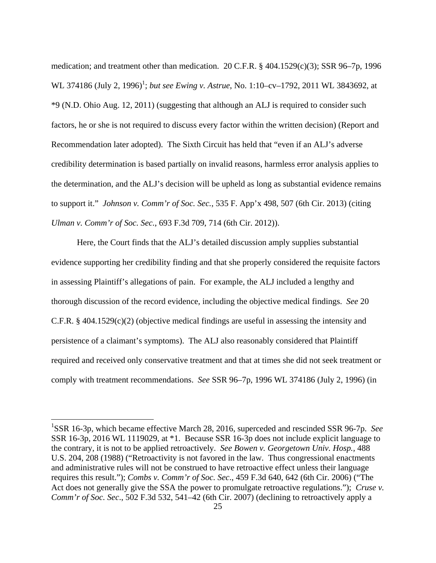medication; and treatment other than medication. 20 C.F.R. § 404.1529(c)(3); SSR 96–7p, 1996 WL 374186 (July 2, 1996)<sup>1</sup>; *but see Ewing v. Astrue*, No. 1:10–cv–1792, 2011 WL 3843692, at \*9 (N.D. Ohio Aug. 12, 2011) (suggesting that although an ALJ is required to consider such factors, he or she is not required to discuss every factor within the written decision) (Report and Recommendation later adopted). The Sixth Circuit has held that "even if an ALJ's adverse credibility determination is based partially on invalid reasons, harmless error analysis applies to the determination, and the ALJ's decision will be upheld as long as substantial evidence remains to support it." *Johnson v. Comm'r of Soc. Sec.*, 535 F. App'x 498, 507 (6th Cir. 2013) (citing *Ulman v. Comm'r of Soc. Sec.*, 693 F.3d 709, 714 (6th Cir. 2012)).

 Here, the Court finds that the ALJ's detailed discussion amply supplies substantial evidence supporting her credibility finding and that she properly considered the requisite factors in assessing Plaintiff's allegations of pain. For example, the ALJ included a lengthy and thorough discussion of the record evidence, including the objective medical findings. *See* 20 C.F.R.  $\S 404.1529(c)(2)$  (objective medical findings are useful in assessing the intensity and persistence of a claimant's symptoms). The ALJ also reasonably considered that Plaintiff required and received only conservative treatment and that at times she did not seek treatment or comply with treatment recommendations. *See* SSR 96–7p, 1996 WL 374186 (July 2, 1996) (in

 $\overline{a}$ 

<sup>&</sup>lt;sup>1</sup>SSR 16-3p, which became effective March 28, 2016, superceded and rescinded SSR 96-7p. See SSR 16-3p, 2016 WL 1119029, at \*1. Because SSR 16-3p does not include explicit language to the contrary, it is not to be applied retroactively. *See Bowen v. Georgetown Univ. Hosp.,* 488 U.S. 204, 208 (1988) ("Retroactivity is not favored in the law. Thus congressional enactments and administrative rules will not be construed to have retroactive effect unless their language requires this result."); *Combs v. Comm'r of Soc. Sec*., 459 F.3d 640, 642 (6th Cir. 2006) ("The Act does not generally give the SSA the power to promulgate retroactive regulations."); *Cruse v. Comm'r of Soc. Sec*., 502 F.3d 532, 541–42 (6th Cir. 2007) (declining to retroactively apply a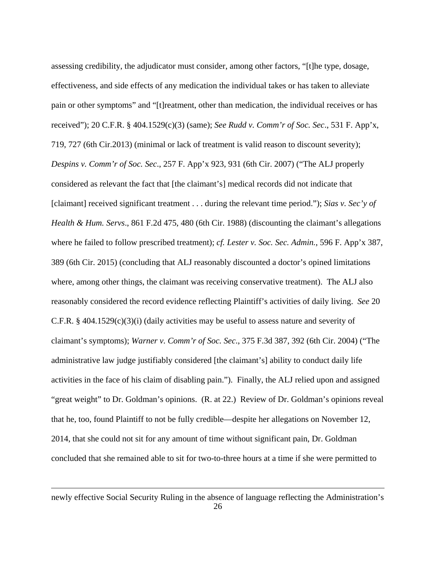assessing credibility, the adjudicator must consider, among other factors, "[t]he type, dosage, effectiveness, and side effects of any medication the individual takes or has taken to alleviate pain or other symptoms" and "[t]reatment, other than medication, the individual receives or has received"); 20 C.F.R. § 404.1529(c)(3) (same); *See Rudd v. Comm'r of Soc. Sec*., 531 F. App'x, 719, 727 (6th Cir.2013) (minimal or lack of treatment is valid reason to discount severity); *Despins v. Comm'r of Soc. Sec*., 257 F. App'x 923, 931 (6th Cir. 2007) ("The ALJ properly considered as relevant the fact that [the claimant's] medical records did not indicate that [claimant] received significant treatment . . . during the relevant time period."); *Sias v. Sec'y of Health & Hum. Servs*., 861 F.2d 475, 480 (6th Cir. 1988) (discounting the claimant's allegations where he failed to follow prescribed treatment); *cf. Lester v. Soc. Sec. Admin.*, 596 F. App'x 387, 389 (6th Cir. 2015) (concluding that ALJ reasonably discounted a doctor's opined limitations where, among other things, the claimant was receiving conservative treatment). The ALJ also reasonably considered the record evidence reflecting Plaintiff's activities of daily living. *See* 20 C.F.R.  $\S$  404.1529(c)(3)(i) (daily activities may be useful to assess nature and severity of claimant's symptoms); *Warner v. Comm'r of Soc. Sec*., 375 F.3d 387, 392 (6th Cir. 2004) ("The administrative law judge justifiably considered [the claimant's] ability to conduct daily life activities in the face of his claim of disabling pain."). Finally, the ALJ relied upon and assigned "great weight" to Dr. Goldman's opinions. (R. at 22.) Review of Dr. Goldman's opinions reveal that he, too, found Plaintiff to not be fully credible—despite her allegations on November 12, 2014, that she could not sit for any amount of time without significant pain, Dr. Goldman concluded that she remained able to sit for two-to-three hours at a time if she were permitted to

newly effective Social Security Ruling in the absence of language reflecting the Administration's

<u>.</u>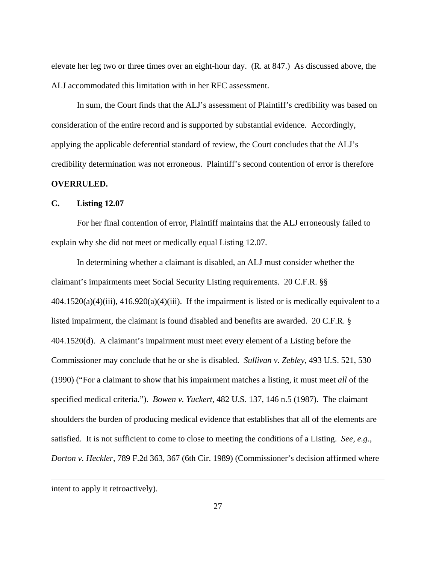elevate her leg two or three times over an eight-hour day. (R. at 847.) As discussed above, the ALJ accommodated this limitation with in her RFC assessment.

 In sum, the Court finds that the ALJ's assessment of Plaintiff's credibility was based on consideration of the entire record and is supported by substantial evidence. Accordingly, applying the applicable deferential standard of review, the Court concludes that the ALJ's credibility determination was not erroneous. Plaintiff's second contention of error is therefore **OVERRULED.** 

#### **C. Listing 12.07**

 For her final contention of error, Plaintiff maintains that the ALJ erroneously failed to explain why she did not meet or medically equal Listing 12.07.

 In determining whether a claimant is disabled, an ALJ must consider whether the claimant's impairments meet Social Security Listing requirements. 20 C.F.R. §§  $404.1520(a)(4)(iii)$ ,  $416.920(a)(4)(iii)$ . If the impairment is listed or is medically equivalent to a listed impairment, the claimant is found disabled and benefits are awarded. 20 C.F.R. § 404.1520(d). A claimant's impairment must meet every element of a Listing before the Commissioner may conclude that he or she is disabled. *Sullivan v. Zebley*, 493 U.S. 521, 530 (1990) ("For a claimant to show that his impairment matches a listing, it must meet *all* of the specified medical criteria."). *Bowen v. Yuckert*, 482 U.S. 137, 146 n.5 (1987). The claimant shoulders the burden of producing medical evidence that establishes that all of the elements are satisfied.It is not sufficient to come to close to meeting the conditions of a Listing. *See, e.g., Dorton v. Heckler*, 789 F.2d 363, 367 (6th Cir. 1989) (Commissioner's decision affirmed where

<u>.</u>

intent to apply it retroactively).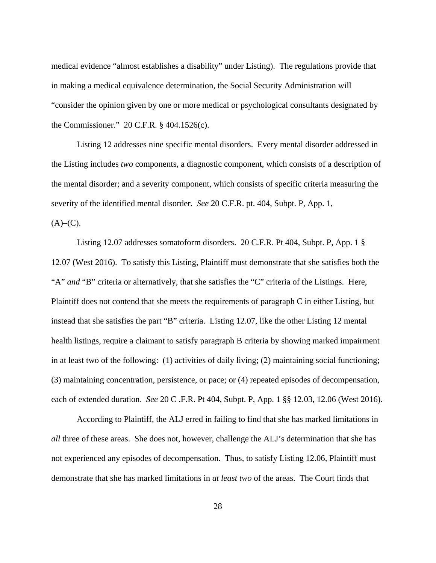medical evidence "almost establishes a disability" under Listing). The regulations provide that in making a medical equivalence determination, the Social Security Administration will "consider the opinion given by one or more medical or psychological consultants designated by the Commissioner." 20 C.F.R. § 404.1526(c).

 Listing 12 addresses nine specific mental disorders. Every mental disorder addressed in the Listing includes *two* components, a diagnostic component, which consists of a description of the mental disorder; and a severity component, which consists of specific criteria measuring the severity of the identified mental disorder. *See* 20 C.F.R. pt. 404, Subpt. P, App. 1,  $(A)$ – $(C)$ .

 Listing 12.07 addresses somatoform disorders. 20 C.F.R. Pt 404, Subpt. P, App. 1 § 12.07 (West 2016). To satisfy this Listing, Plaintiff must demonstrate that she satisfies both the "A" *and* "B" criteria or alternatively, that she satisfies the "C" criteria of the Listings. Here, Plaintiff does not contend that she meets the requirements of paragraph C in either Listing, but instead that she satisfies the part "B" criteria. Listing 12.07, like the other Listing 12 mental health listings, require a claimant to satisfy paragraph B criteria by showing marked impairment in at least two of the following: (1) activities of daily living; (2) maintaining social functioning; (3) maintaining concentration, persistence, or pace; or (4) repeated episodes of decompensation, each of extended duration. *See* 20 C .F.R. Pt 404, Subpt. P, App. 1 §§ 12.03, 12.06 (West 2016).

 According to Plaintiff, the ALJ erred in failing to find that she has marked limitations in *all* three of these areas. She does not, however, challenge the ALJ's determination that she has not experienced any episodes of decompensation. Thus, to satisfy Listing 12.06, Plaintiff must demonstrate that she has marked limitations in *at least two* of the areas. The Court finds that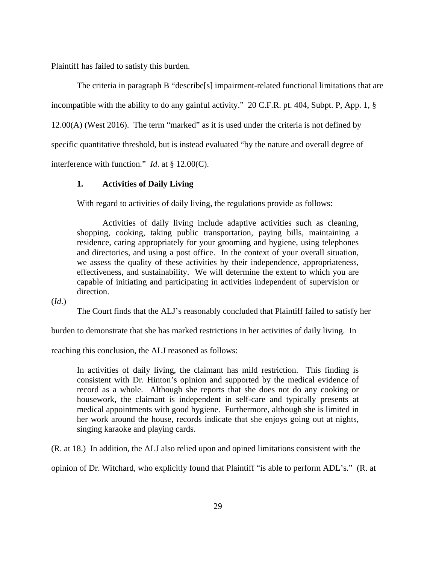Plaintiff has failed to satisfy this burden.

 The criteria in paragraph B "describe[s] impairment-related functional limitations that are incompatible with the ability to do any gainful activity." 20 C.F.R. pt. 404, Subpt. P, App. 1, § 12.00(A) (West 2016). The term "marked" as it is used under the criteria is not defined by specific quantitative threshold, but is instead evaluated "by the nature and overall degree of interference with function." *Id*. at § 12.00(C).

## **1. Activities of Daily Living**

With regard to activities of daily living, the regulations provide as follows:

 Activities of daily living include adaptive activities such as cleaning, shopping, cooking, taking public transportation, paying bills, maintaining a residence, caring appropriately for your grooming and hygiene, using telephones and directories, and using a post office. In the context of your overall situation, we assess the quality of these activities by their independence, appropriateness, effectiveness, and sustainability. We will determine the extent to which you are capable of initiating and participating in activities independent of supervision or direction.

(*Id*.)

The Court finds that the ALJ's reasonably concluded that Plaintiff failed to satisfy her

burden to demonstrate that she has marked restrictions in her activities of daily living. In

reaching this conclusion, the ALJ reasoned as follows:

In activities of daily living, the claimant has mild restriction. This finding is consistent with Dr. Hinton's opinion and supported by the medical evidence of record as a whole. Although she reports that she does not do any cooking or housework, the claimant is independent in self-care and typically presents at medical appointments with good hygiene. Furthermore, although she is limited in her work around the house, records indicate that she enjoys going out at nights, singing karaoke and playing cards.

(R. at 18.) In addition, the ALJ also relied upon and opined limitations consistent with the

opinion of Dr. Witchard, who explicitly found that Plaintiff "is able to perform ADL's." (R. at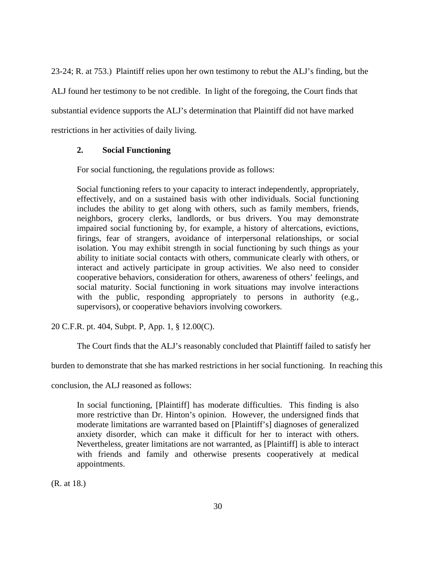23-24; R. at 753.) Plaintiff relies upon her own testimony to rebut the ALJ's finding, but the

ALJ found her testimony to be not credible. In light of the foregoing, the Court finds that

substantial evidence supports the ALJ's determination that Plaintiff did not have marked

restrictions in her activities of daily living.

# **2. Social Functioning**

For social functioning, the regulations provide as follows:

Social functioning refers to your capacity to interact independently, appropriately, effectively, and on a sustained basis with other individuals. Social functioning includes the ability to get along with others, such as family members, friends, neighbors, grocery clerks, landlords, or bus drivers. You may demonstrate impaired social functioning by, for example, a history of altercations, evictions, firings, fear of strangers, avoidance of interpersonal relationships, or social isolation. You may exhibit strength in social functioning by such things as your ability to initiate social contacts with others, communicate clearly with others, or interact and actively participate in group activities. We also need to consider cooperative behaviors, consideration for others, awareness of others' feelings, and social maturity. Social functioning in work situations may involve interactions with the public, responding appropriately to persons in authority (e.g., supervisors), or cooperative behaviors involving coworkers.

20 C.F.R. pt. 404, Subpt. P, App. 1, § 12.00(C).

The Court finds that the ALJ's reasonably concluded that Plaintiff failed to satisfy her

burden to demonstrate that she has marked restrictions in her social functioning. In reaching this

conclusion, the ALJ reasoned as follows:

In social functioning, [Plaintiff] has moderate difficulties. This finding is also more restrictive than Dr. Hinton's opinion. However, the undersigned finds that moderate limitations are warranted based on [Plaintiff's] diagnoses of generalized anxiety disorder, which can make it difficult for her to interact with others. Nevertheless, greater limitations are not warranted, as [Plaintiff] is able to interact with friends and family and otherwise presents cooperatively at medical appointments.

(R. at 18.)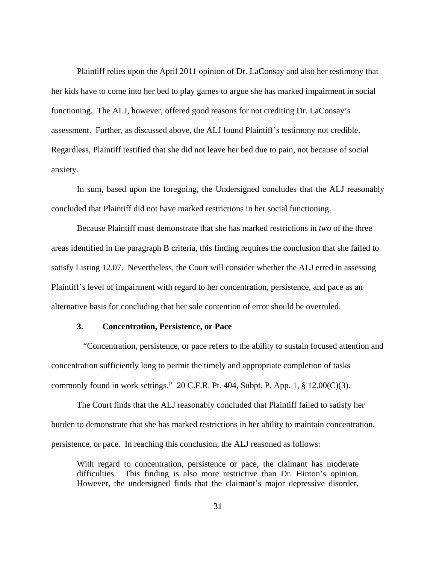Plaintiff relies upon the April 2011 opinion of Dr. LaConsay and also her testimony that her kids have to come into her bed to play games to argue she has marked impairment in social functioning. The ALJ, however, offered good reasons for not crediting Dr. LaConsay's assessment. Further, as discussed above, the ALJ found Plaintiff's testimony not credible. Regardless, Plaintiff testified that she did not leave her bed due to pain, not because of social anxiety.

 In sum, based upon the foregoing, the Undersigned concludes that the ALJ reasonably concluded that Plaintiff did not have marked restrictions in her social functioning.

Because Plaintiff must demonstrate that she has marked restrictions in *two* of the three areas identified in the paragraph B criteria, this finding requires the conclusion that she failed to satisfy Listing 12.07. Nevertheless, the Court will consider whether the ALJ erred in assessing Plaintiff's level of impairment with regard to her concentration, persistence, and pace as an alternative basis for concluding that her sole contention of error should be overruled.

#### **3. Concentration, Persistence, or Pace**

 "Concentration, persistence, or pace refers to the ability to sustain focused attention and concentration sufficiently long to permit the timely and appropriate completion of tasks commonly found in work settings." 20 C.F.R. Pt. 404, Subpt. P, App. 1,  $\S$  12.00(C)(3).

 The Court finds that the ALJ reasonably concluded that Plaintiff failed to satisfy her burden to demonstrate that she has marked restrictions in her ability to maintain concentration, persistence, or pace. In reaching this conclusion, the ALJ reasoned as follows:

With regard to concentration, persistence or pace, the claimant has moderate difficulties. This finding is also more restrictive than Dr. Hinton's opinion. However, the undersigned finds that the claimant's major depressive disorder,